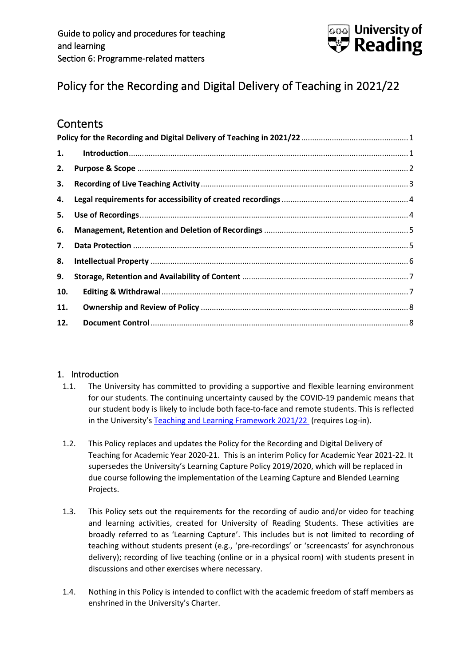

# <span id="page-0-0"></span>Policy for the Recording and Digital Delivery of Teaching in 2021/22

# **Contents**

| 1.  |  |  |  |
|-----|--|--|--|
| 2.  |  |  |  |
| 3.  |  |  |  |
| 4.  |  |  |  |
| 5.  |  |  |  |
| 6.  |  |  |  |
| 7.  |  |  |  |
| 8.  |  |  |  |
| 9.  |  |  |  |
| 10. |  |  |  |
| 11. |  |  |  |
| 12. |  |  |  |

# <span id="page-0-1"></span>1. Introduction

- 1.1. The University has committed to providing a supportive and flexible learning environment for our students. The continuing uncertainty caused by the COVID-19 pandemic means that our student body is likely to include both face-to-face and remote students. This is reflected in the University's [Teaching and Learning Framework 2021/22](http://www.reading.ac.uk/web/files/leadershipgroup/TL_Framework_202122_-_published_21_04_21_V1.0.pdf) (requires Log-in).
- 1.2. This Policy replaces and updates the Policy for the Recording and Digital Delivery of Teaching for Academic Year 2020-21. This is an interim Policy for Academic Year 2021-22. It supersedes the University's Learning Capture Policy 2019/2020, which will be replaced in due course following the implementation of the Learning Capture and Blended Learning Projects.
- 1.3. This Policy sets out the requirements for the recording of audio and/or video for teaching and learning activities, created for University of Reading Students. These activities are broadly referred to as 'Learning Capture'. This includes but is not limited to recording of teaching without students present (e.g., 'pre-recordings' or 'screencasts' for asynchronous delivery); recording of live teaching (online or in a physical room) with students present in discussions and other exercises where necessary.
- 1.4. Nothing in this Policy is intended to conflict with the academic freedom of staff members as enshrined in the University's Charter.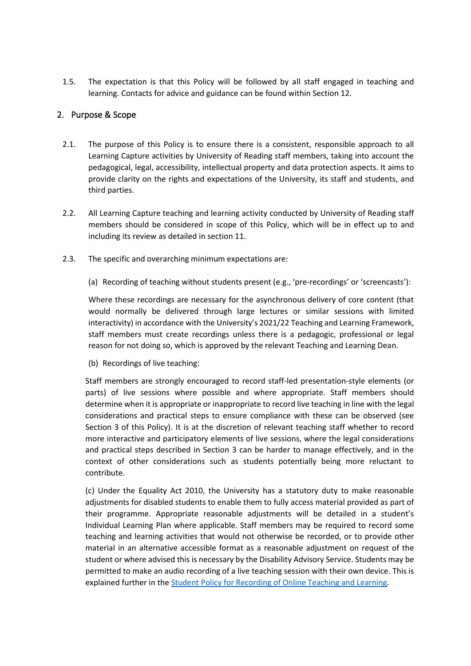1.5. The expectation is that this Policy will be followed by all staff engaged in teaching and learning. Contacts for advice and guidance can be found within Section 12.

#### <span id="page-1-0"></span>2. Purpose & Scope

- 2.1. The purpose of this Policy is to ensure there is a consistent, responsible approach to all Learning Capture activities by University of Reading staff members, taking into account the pedagogical, legal, accessibility, intellectual property and data protection aspects. It aims to provide clarity on the rights and expectations of the University, its staff and students, and third parties.
- 2.2. All Learning Capture teaching and learning activity conducted by University of Reading staff members should be considered in scope of this Policy, which will be in effect up to and including its review as detailed in section 11.
- 2.3. The specific and overarching minimum expectations are:
	- (a) Recording of teaching without students present (e.g., 'pre-recordings' or 'screencasts'):

Where these recordings are necessary for the asynchronous delivery of core content (that would normally be delivered through large lectures or similar sessions with limited interactivity) in accordance with the University's 2021/22 Teaching and Learning Framework, staff members must create recordings unless there is a pedagogic, professional or legal reason for not doing so, which is approved by the relevant Teaching and Learning Dean.

(b) Recordings of live teaching:

Staff members are strongly encouraged to record staff-led presentation-style elements (or parts) of live sessions where possible and where appropriate. Staff members should determine when it is appropriate or inappropriate to record live teaching in line with the legal considerations and practical steps to ensure compliance with these can be observed (see Section 3 of this Policy). It is at the discretion of relevant teaching staff whether to record more interactive and participatory elements of live sessions, where the legal considerations and practical steps described in Section 3 can be harder to manage effectively, and in the context of other considerations such as students potentially being more reluctant to contribute.

(c) Under the Equality Act 2010, the University has a statutory duty to make reasonable adjustments for disabled students to enable them to fully access material provided as part of their programme. Appropriate reasonable adjustments will be detailed in a student's Individual Learning Plan where applicable. Staff members may be required to record some teaching and learning activities that would not otherwise be recorded, or to provide other material in an alternative accessible format as a reasonable adjustment on request of the student or where advised this is necessary by the Disability Advisory Service. Students may be permitted to make an audio recording of a live teaching session with their own device. This is explained further in the [Student Policy for Recording of Online Teaching and Learning.](http://www.reading.ac.uk/web/files/qualitysupport/Student_Policy_Recording_of_Online_Teaching_and_Learning_Activity_2021-22.pdf)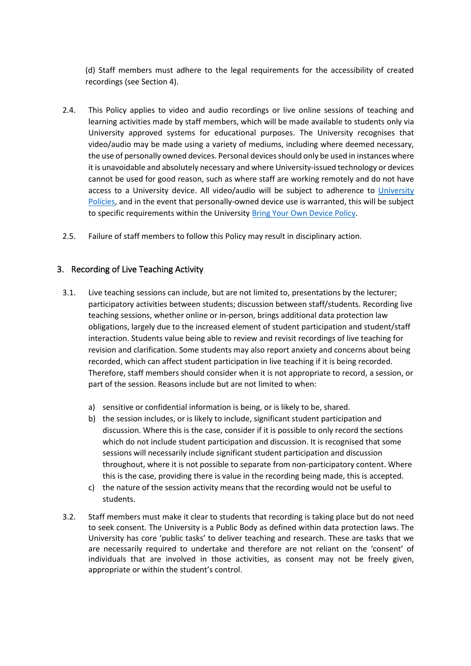(d) Staff members must adhere to the legal requirements for the accessibility of created recordings (see Section 4).

- 2.4. This Policy applies to video and audio recordings or live online sessions of teaching and learning activities made by staff members, which will be made available to students only via University approved systems for educational purposes. The University recognises that video/audio may be made using a variety of mediums, including where deemed necessary, the use of personally owned devices. Personal devices should only be used in instances where it is unavoidable and absolutely necessary and where University-issued technology or devices cannot be used for good reason, such as where staff are working remotely and do not have access to a University device. All video/audio will be subject to adherence to [University](http://www.reading.ac.uk/imps-FOIA-pubscheme-polsandprocs.aspx)  [Policies,](http://www.reading.ac.uk/imps-FOIA-pubscheme-polsandprocs.aspx) and in the event that personally-owned device use is warranted, this will be subject to specific requirements within the University [Bring Your Own Device Policy.](http://www.reading.ac.uk/web/files/imps/Bring_Your_Own_Device_Policy_V.1.1_2019_10.pdf)
- 2.5. Failure of staff members to follow this Policy may result in disciplinary action.

#### <span id="page-2-0"></span>3. Recording of Live Teaching Activity

- 3.1. Live teaching sessions can include, but are not limited to, presentations by the lecturer; participatory activities between students; discussion between staff/students. Recording live teaching sessions, whether online or in-person, brings additional data protection law obligations, largely due to the increased element of student participation and student/staff interaction. Students value being able to review and revisit recordings of live teaching for revision and clarification. Some students may also report anxiety and concerns about being recorded, which can affect student participation in live teaching if it is being recorded. Therefore, staff members should consider when it is not appropriate to record, a session, or part of the session. Reasons include but are not limited to when:
	- a) sensitive or confidential information is being, or is likely to be, shared.
	- b) the session includes, or is likely to include, significant student participation and discussion. Where this is the case, consider if it is possible to only record the sections which do not include student participation and discussion. It is recognised that some sessions will necessarily include significant student participation and discussion throughout, where it is not possible to separate from non-participatory content. Where this is the case, providing there is value in the recording being made, this is accepted.
	- c) the nature of the session activity means that the recording would not be useful to students.
- 3.2. Staff members must make it clear to students that recording is taking place but do not need to seek consent. The University is a Public Body as defined within data protection laws. The University has core 'public tasks' to deliver teaching and research. These are tasks that we are necessarily required to undertake and therefore are not reliant on the 'consent' of individuals that are involved in those activities, as consent may not be freely given, appropriate or within the student's control.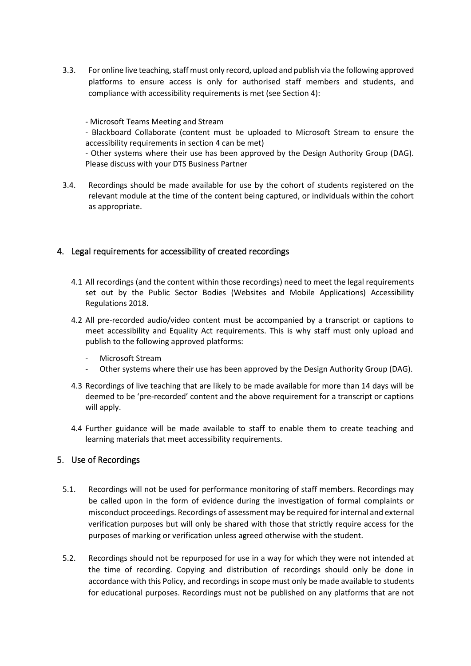3.3. For online live teaching, staff must only record, upload and publish via the following approved platforms to ensure access is only for authorised staff members and students, and compliance with accessibility requirements is met (see Section 4):

- Microsoft Teams Meeting and Stream

- Blackboard Collaborate (content must be uploaded to Microsoft Stream to ensure the accessibility requirements in section 4 can be met)

- Other systems where their use has been approved by the Design Authority Group (DAG). Please discuss with your DTS Business Partner

3.4. Recordings should be made available for use by the cohort of students registered on the relevant module at the time of the content being captured, or individuals within the cohort as appropriate.

# <span id="page-3-0"></span>4. Legal requirements for accessibility of created recordings

- 4.1 All recordings (and the content within those recordings) need to meet the legal requirements set out by the Public Sector Bodies (Websites and Mobile Applications) Accessibility Regulations 2018.
- 4.2 All pre-recorded audio/video content must be accompanied by a transcript or captions to meet accessibility and Equality Act requirements. This is why staff must only upload and publish to the following approved platforms:
	- Microsoft Stream
	- Other systems where their use has been approved by the Design Authority Group (DAG).
- 4.3 Recordings of live teaching that are likely to be made available for more than 14 days will be deemed to be 'pre-recorded' content and the above requirement for a transcript or captions will apply.
- 4.4 Further guidance will be made available to staff to enable them to create teaching and learning materials that meet accessibility requirements.

#### <span id="page-3-1"></span>5. Use of Recordings

- 5.1. Recordings will not be used for performance monitoring of staff members. Recordings may be called upon in the form of evidence during the investigation of formal complaints or misconduct proceedings. Recordings of assessment may be required for internal and external verification purposes but will only be shared with those that strictly require access for the purposes of marking or verification unless agreed otherwise with the student.
- 5.2. Recordings should not be repurposed for use in a way for which they were not intended at the time of recording. Copying and distribution of recordings should only be done in accordance with this Policy, and recordings in scope must only be made available to students for educational purposes. Recordings must not be published on any platforms that are not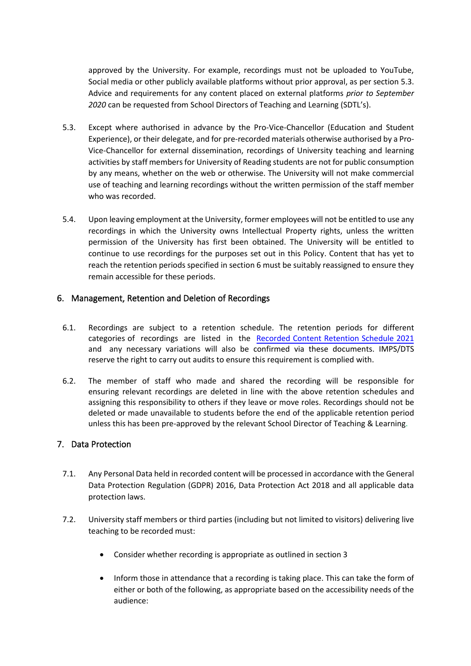approved by the University. For example, recordings must not be uploaded to YouTube, Social media or other publicly available platforms without prior approval, as per section 5.3. Advice and requirements for any content placed on external platforms *prior to September 2020* can be requested from School Directors of Teaching and Learning (SDTL's).

- 5.3. Except where authorised in advance by the Pro-Vice-Chancellor (Education and Student Experience), or their delegate, and for pre-recorded materials otherwise authorised by a Pro-Vice-Chancellor for external dissemination, recordings of University teaching and learning activities by staff members for University of Reading students are not for public consumption by any means, whether on the web or otherwise. The University will not make commercial use of teaching and learning recordings without the written permission of the staff member who was recorded.
- 5.4. Upon leaving employment at the University, former employees will not be entitled to use any recordings in which the University owns Intellectual Property rights, unless the written permission of the University has first been obtained. The University will be entitled to continue to use recordings for the purposes set out in this Policy. Content that has yet to reach the retention periods specified in section 6 must be suitably reassigned to ensure they remain accessible for these periods.

# <span id="page-4-0"></span>6. Management, Retention and Deletion of Recordings

- 6.1. Recordings are subject to a retention schedule. The retention periods for different categories of recordings are listed in [the Recorded](http://www.reading.ac.uk/web/files/imps/Recorded_Content_Retention_Schedule_2021_V.2_-_final.pdf) Content Retention Schedule 2021 and any necessary variations will also be confirmed via these documents. IMPS/DTS reserve the right to carry out audits to ensure this requirement is complied with.
- 6.2. The member of staff who made and shared the recording will be responsible for ensuring relevant recordings are deleted in line with the above retention schedules and assigning this responsibility to others if they leave or move roles. Recordings should not be deleted or made unavailable to students before the end of the applicable retention period unless this has been pre-approved by the relevant School Director of Teaching & Learning.

#### <span id="page-4-1"></span>7. Data Protection

- 7.1. Any Personal Data held in recorded content will be processed in accordance with the General Data Protection Regulation (GDPR) 2016, Data Protection Act 2018 and all applicable data protection laws.
- 7.2. University staff members or third parties (including but not limited to visitors) delivering live teaching to be recorded must:
	- Consider whether recording is appropriate as outlined in section 3
	- Inform those in attendance that a recording is taking place. This can take the form of either or both of the following, as appropriate based on the accessibility needs of the audience: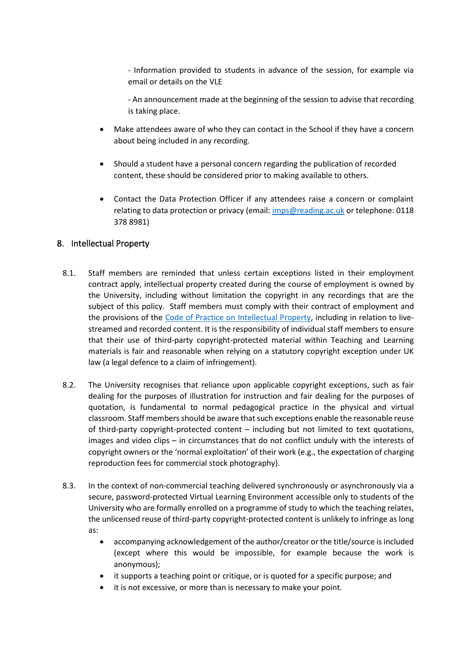- Information provided to students in advance of the session, for example via email or details on the VLE

- An announcement made at the beginning of the session to advise that recording is taking place.

- Make attendees aware of who they can contact in the School if they have a concern about being included in any recording.
- Should a student have a personal concern regarding the publication of recorded content, these should be considered prior to making available to others.
- Contact the Data Protection Officer if any attendees raise a concern or complaint relating to data protection or privacy (email: [imps@reading.ac.uk](mailto:imps@reading.ac.uk) or telephone: 0118 378 8981)

# <span id="page-5-0"></span>8. Intellectual Property

- 8.1. Staff members are reminded that unless certain exceptions listed in their employment contract apply, intellectual property created during the course of employment is owned by the University, including without limitation the copyright in any recordings that are the subject of this policy. Staff members must comply with their contract of employment and the provisions of the [Code of Practice on Intellectual Property,](http://www.reading.ac.uk/web/files/reas/CodePracticeIntellectualProperty_v2.0.pdf) including in relation to livestreamed and recorded content. It is the responsibility of individual staff members to ensure that their use of third-party copyright-protected material within Teaching and Learning materials is fair and reasonable when relying on a statutory copyright exception under UK law (a legal defence to a claim of infringement).
- 8.2. The University recognises that reliance upon applicable copyright exceptions, such as fair dealing for the purposes of illustration for instruction and fair dealing for the purposes of quotation, is fundamental to normal pedagogical practice in the physical and virtual classroom. Staff members should be aware that such exceptions enable the reasonable reuse of third-party copyright-protected content – including but not limited to text quotations, images and video clips – in circumstances that do not conflict unduly with the interests of copyright owners or the 'normal exploitation' of their work (e.g., the expectation of charging reproduction fees for commercial stock photography).
- 8.3. In the context of non-commercial teaching delivered synchronously or asynchronously via a secure, password-protected Virtual Learning Environment accessible only to students of the University who are formally enrolled on a programme of study to which the teaching relates, the unlicensed reuse of third-party copyright-protected content is unlikely to infringe as long as:
	- accompanying acknowledgement of the author/creator or the title/source is included (except where this would be impossible, for example because the work is anonymous);
	- it supports a teaching point or critique, or is quoted for a specific purpose; and
	- it is not excessive, or more than is necessary to make your point.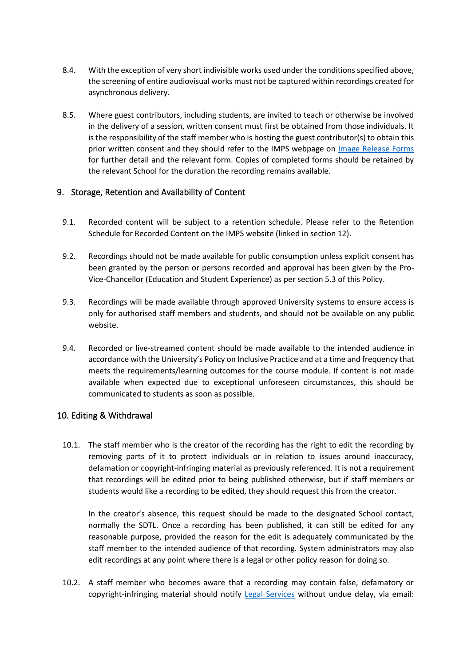- 8.4. With the exception of very short indivisible works used under the conditions specified above, the screening of entire audiovisual works must not be captured within recordings created for asynchronous delivery.
- 8.5. Where guest contributors, including students, are invited to teach or otherwise be involved in the delivery of a session, written consent must first be obtained from those individuals. It is the responsibility of the staff member who is hosting the guest contributor(s) to obtain this prior written consent and they should refer to the IMPS webpage on [Image Release Forms](https://www.reading.ac.uk/internal/imps/Copyright/ImageReleaseForms.aspx) for further detail and the relevant form. Copies of completed forms should be retained by the relevant School for the duration the recording remains available.

# <span id="page-6-0"></span>9. Storage, Retention and Availability of Content

- 9.1. Recorded content will be subject to a retention schedule. Please refer to the Retention Schedule for Recorded Content on the IMPS website (linked in section 12).
- 9.2. Recordings should not be made available for public consumption unless explicit consent has been granted by the person or persons recorded and approval has been given by the Pro-Vice-Chancellor (Education and Student Experience) as per section 5.3 of this Policy.
- 9.3. Recordings will be made available through approved University systems to ensure access is only for authorised staff members and students, and should not be available on any public website.
- 9.4. Recorded or live-streamed content should be made available to the intended audience in accordance with the University's Policy on Inclusive Practice and at a time and frequency that meets the requirements/learning outcomes for the course module. If content is not made available when expected due to exceptional unforeseen circumstances, this should be communicated to students as soon as possible.

# <span id="page-6-1"></span>10. Editing & Withdrawal

10.1. The staff member who is the creator of the recording has the right to edit the recording by removing parts of it to protect individuals or in relation to issues around inaccuracy, defamation or copyright-infringing material as previously referenced. It is not a requirement that recordings will be edited prior to being published otherwise, but if staff members or students would like a recording to be edited, they should request this from the creator.

In the creator's absence, this request should be made to the designated School contact, normally the SDTL. Once a recording has been published, it can still be edited for any reasonable purpose, provided the reason for the edit is adequately communicated by the staff member to the intended audience of that recording. System administrators may also edit recordings at any point where there is a legal or other policy reason for doing so.

10.2. A staff member who becomes aware that a recording may contain false, defamatory or copyright-infringing material should notify [Legal Services](https://www.reading.ac.uk/legal-services/Contacting_Legal_Services.aspx) without undue delay, via email: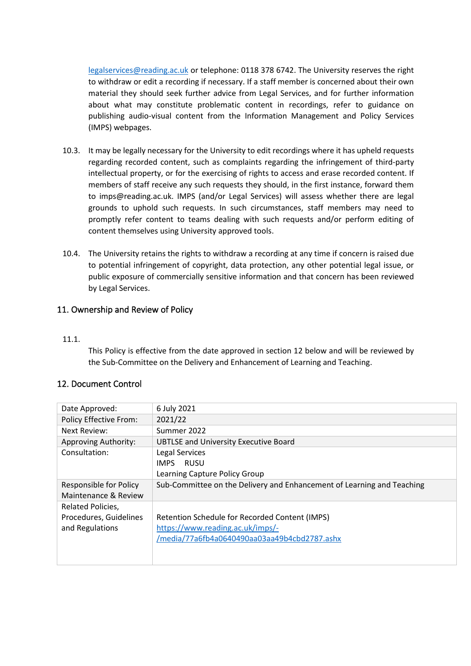[legalservices@reading.ac.uk](mailto:legalservices@reading.ac.uk) or telephone: 0118 378 6742. The University reserves the right to withdraw or edit a recording if necessary. If a staff member is concerned about their own material they should seek further advice from Legal Services, and for further information about what may constitute problematic content in recordings, refer to guidance on publishing audio-visual content from the Information Management and Policy Services (IMPS) webpages.

- 10.3. It may be legally necessary for the University to edit recordings where it has upheld requests regarding recorded content, such as complaints regarding the infringement of third-party intellectual property, or for the exercising of rights to access and erase recorded content. If members of staff receive any such requests they should, in the first instance, forward them to imps@reading.ac.uk. IMPS (and/or Legal Services) will assess whether there are legal grounds to uphold such requests. In such circumstances, staff members may need to promptly refer content to teams dealing with such requests and/or perform editing of content themselves using University approved tools.
- 10.4. The University retains the rights to withdraw a recording at any time if concern is raised due to potential infringement of copyright, data protection, any other potential legal issue, or public exposure of commercially sensitive information and that concern has been reviewed by Legal Services.

# <span id="page-7-0"></span>11. Ownership and Review of Policy

#### 11.1.

This Policy is effective from the date approved in section 12 below and will be reviewed by the Sub-Committee on the Delivery and Enhancement of Learning and Teaching.

#### <span id="page-7-1"></span>12. Document Control

| Date Approved:                                                 | 6 July 2021                                                                                                                        |
|----------------------------------------------------------------|------------------------------------------------------------------------------------------------------------------------------------|
| <b>Policy Effective From:</b>                                  | 2021/22                                                                                                                            |
| Next Review:                                                   | Summer 2022                                                                                                                        |
| <b>Approving Authority:</b>                                    | <b>UBTLSE and University Executive Board</b>                                                                                       |
| Consultation:                                                  | Legal Services<br>RUSU<br><b>IMPS</b><br>Learning Capture Policy Group                                                             |
| Responsible for Policy<br>Maintenance & Review                 | Sub-Committee on the Delivery and Enhancement of Learning and Teaching                                                             |
| Related Policies,<br>Procedures, Guidelines<br>and Regulations | Retention Schedule for Recorded Content (IMPS)<br>https://www.reading.ac.uk/imps/-<br>/media/77a6fb4a0640490aa03aa49b4cbd2787.ashx |